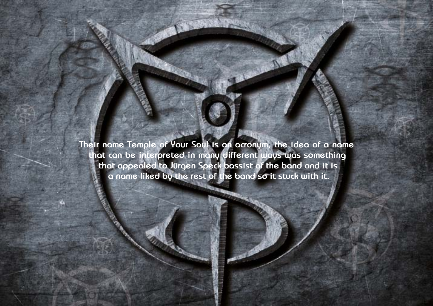Design by Daniel Källmalm

**Their name Temple of Your Soul is an acronym, the idea of a name that can be interpreted in many different ways was something that appealed to Jürgen Speck bassist of the band and it is a name liked by the rest of the band so it stuck with it.**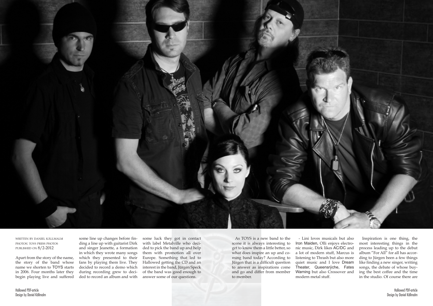

written by daniel källmalm photos: toys press photos published on 8/2-2012

Apart from the story of the name, the story of the band whose name we shorten to TOYS starts in 2006. Four months later they begin playing live and suffered

some line up changes before finding a line up with guitarist Dirk and singer Jeanette, a formation in which they wrote many songs which they presented to their fans by playing them live. They decided to record a demo which during recording grew to decided to record an album and with

some luck they got in contact with label Metalville who decided to pick the band up and help them with promotion all over Europe. Something that led to Hallowed getting the CD and an interest in the band, Jürgen Speck of the band was good enough to answer some of our questions.

As TOYS is a new band to the scene it is always interesting to get to know them a little better, so what does inspire an up and coming band today? According to Jürgen that is a difficult question to answer as inspirations come and go and differ from member to member.

- Lini loves musicals but also Iron Maiden, Olli enjoys electronic music, Dirk likes AC/DC and a lot of modern stuff, Marcus is listening to Thrash but also more quiet music and I love Dream Theater, Queensrÿche, Fates Warning but also Crossover and modern metal stuff.

Inspiration is one thing, the most interesting things in the process leading up to the debut album "For All" for all has according to Jürgen been a few things like finding a new singer, writing songs, the debate of whose buying the best coffee and the time in the studio. Of course there are